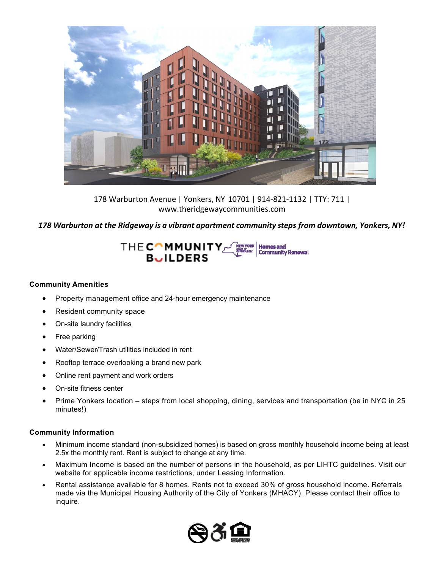

178 Warburton Avenue | Yonkers, NY 10701 | 914‐821‐1132 | TTY: 711 | www.theridgewaycommunities.com

*178 Warburton at the Ridgeway is a vibrant apartment community steps from downtown, Yonkers, NY!*

## THECOMMUNITY **Homes and Community Renewal**

## **Community Amenities**

- Property management office and 24-hour emergency maintenance
- Resident community space
- On-site laundry facilities
- Free parking
- Water/Sewer/Trash utilities included in rent
- Rooftop terrace overlooking a brand new park
- Online rent payment and work orders
- On-site fitness center
- Prime Yonkers location steps from local shopping, dining, services and transportation (be in NYC in 25 minutes!)

## **Community Information**

- Minimum income standard (non-subsidized homes) is based on gross monthly household income being at least 2.5x the monthly rent. Rent is subject to change at any time.
- Maximum Income is based on the number of persons in the household, as per LIHTC guidelines. Visit our website for applicable income restrictions, under Leasing Information.
- Rental assistance available for 8 homes. Rents not to exceed 30% of gross household income. Referrals made via the Municipal Housing Authority of the City of Yonkers (MHACY). Please contact their office to inquire.